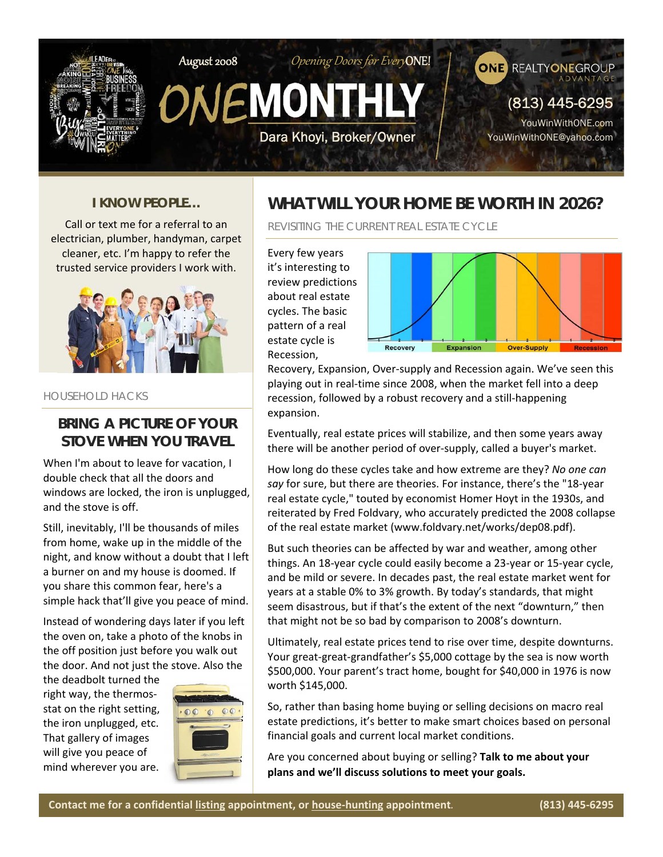

#### *I KNOW PEOPLE…*

Call or text me for a referral to an electrician, plumber, handyman, carpet cleaner, etc. I'm happy to refer the trusted service providers I work with.



#### HOUSEHOLD HACKS

#### **BRING A PICTURE OF YOUR STOVE WHEN YOU TRAVEL**

When I'm about to leave for vacation, I double check that all the doors and windows are locked, the iron is unplugged, and the stove is off.

Still, inevitably, I'll be thousands of miles from home, wake up in the middle of the night, and know without a doubt that I left a burner on and my house is doomed. If you share this common fear, here's a simple hack that'll give you peace of mind.

Instead of wondering days later if you left the oven on, take a photo of the knobs in the off position just before you walk out the door. And not just the stove. Also the

the deadbolt turned the right way, the thermos‐ stat on the right setting, the iron unplugged, etc. That gallery of images will give you peace of mind wherever you are.



#### **WHAT WILL YOUR HOME BE WORTH IN 2026?**

REVISITING THE CURRENT REAL ESTATE CYCLE

Every few years it's interesting to review predictions about real estate cycles. The basic pattern of a real estate cycle is Recession,



Recovery, Expansion, Over‐supply and Recession again. We've seen this playing out in real‐time since 2008, when the market fell into a deep recession, followed by a robust recovery and a still-happening expansion.

Eventually, real estate prices will stabilize, and then some years away there will be another period of over‐supply, called a buyer's market.

How long do these cycles take and how extreme are they? *No one can say* for sure, but there are theories. For instance, there's the "18‐year real estate cycle," touted by economist Homer Hoyt in the 1930s, and reiterated by Fred Foldvary, who accurately predicted the 2008 collapse of the real estate market (www.foldvary.net/works/dep08.pdf).

But such theories can be affected by war and weather, among other things. An 18‐year cycle could easily become a 23‐year or 15‐year cycle, and be mild or severe. In decades past, the real estate market went for years at a stable 0% to 3% growth. By today's standards, that might seem disastrous, but if that's the extent of the next "downturn," then that might not be so bad by comparison to 2008's downturn.

Ultimately, real estate prices tend to rise over time, despite downturns. Your great‐great‐grandfather's \$5,000 cottage by the sea is now worth \$500,000. Your parent's tract home, bought for \$40,000 in 1976 is now worth \$145,000.

So, rather than basing home buying or selling decisions on macro real estate predictions, it's better to make smart choices based on personal financial goals and current local market conditions.

Are you concerned about buying or selling? **Talk to me about your plans and we'll discuss solutions to meet your goals.**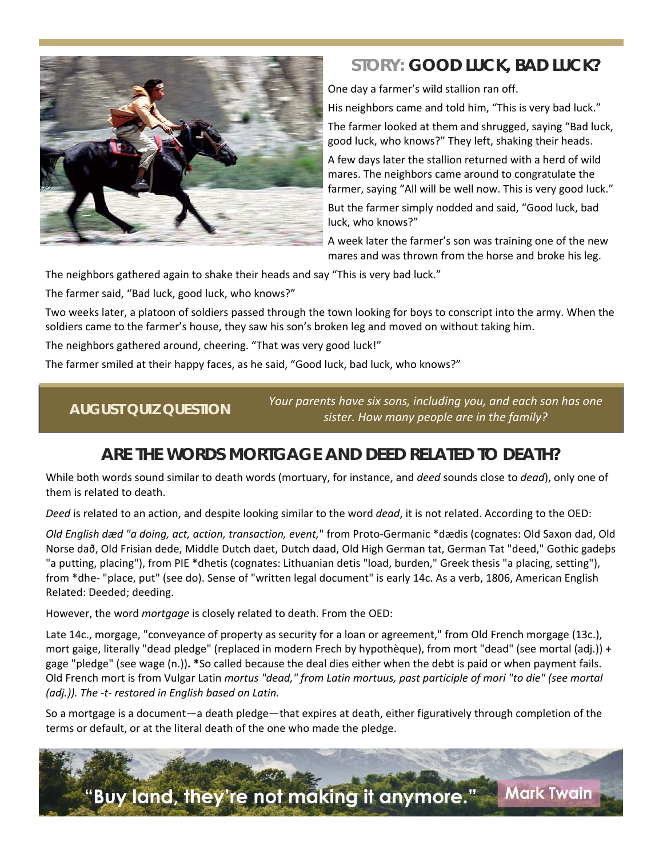

# *STORY:* **GOOD LUCK, BAD LUCK?**

One day a farmer's wild stallion ran off.

His neighbors came and told him, "This is very bad luck."

The farmer looked at them and shrugged, saying "Bad luck, good luck, who knows?" They left, shaking their heads.

A few days later the stallion returned with a herd of wild mares. The neighbors came around to congratulate the farmer, saying "All will be well now. This is very good luck."

But the farmer simply nodded and said, "Good luck, bad luck, who knows?"

A week later the farmer's son was training one of the new mares and was thrown from the horse and broke his leg.

The neighbors gathered again to shake their heads and say "This is very bad luck."

The farmer said, "Bad luck, good luck, who knows?"

Two weeks later, a platoon of soldiers passed through the town looking for boys to conscript into the army. When the soldiers came to the farmer's house, they saw his son's broken leg and moved on without taking him.

The neighbors gathered around, cheering. "That was very good luck!"

The farmer smiled at their happy faces, as he said, "Good luck, bad luck, who knows?"

*Your parents have six sons, including you, and each son has one sister. How many people are in the family?*  **AUGUST QUIZ QUESTION** 

#### **ARE THE WORDS** *MORTGAGE* **AND** *DEED* **RELATED TO DEATH?**

While both words sound similar to death words (mortuary, for instance, and *deed* sounds close to *dead*), only one of them is related to death.

*Deed* is related to an action, and despite looking similar to the word *dead*, it is not related. According to the OED:

*Old English dæd "a doing, act, action, transaction, event,*" from Proto‐Germanic \*dædis (cognates: Old Saxon dad, Old Norse dað, Old Frisian dede, Middle Dutch daet, Dutch daad, Old High German tat, German Tat "deed," Gothic gadeþs "a putting, placing"), from PIE \*dhetis (cognates: Lithuanian detis "load, burden," Greek thesis "a placing, setting"), from \*dhe- "place, put" (see do). Sense of "written legal document" is early 14c. As a verb, 1806, American English Related: Deeded; deeding.

However, the word *mortgage* is closely related to death. From the OED:

Late 14c., morgage, "conveyance of property as security for a loan or agreement," from Old French morgage (13c.), mort gaige, literally "dead pledge" (replaced in modern Frech by hypothèque), from mort "dead" (see mortal (adj.)) + gage "pledge" (see wage (n.))**. \***So called because the deal dies either when the debt is paid or when payment fails. Old French mort is from Vulgar Latin *mortus "dead," from Latin mortuus, past participle of mori "to die" (see mortal (adj.)). The ‐t‐ restored in English based on Latin.*

So a mortgage is a document—a death pledge—that expires at death, either figuratively through completion of the terms or default, or at the literal death of the one who made the pledge.

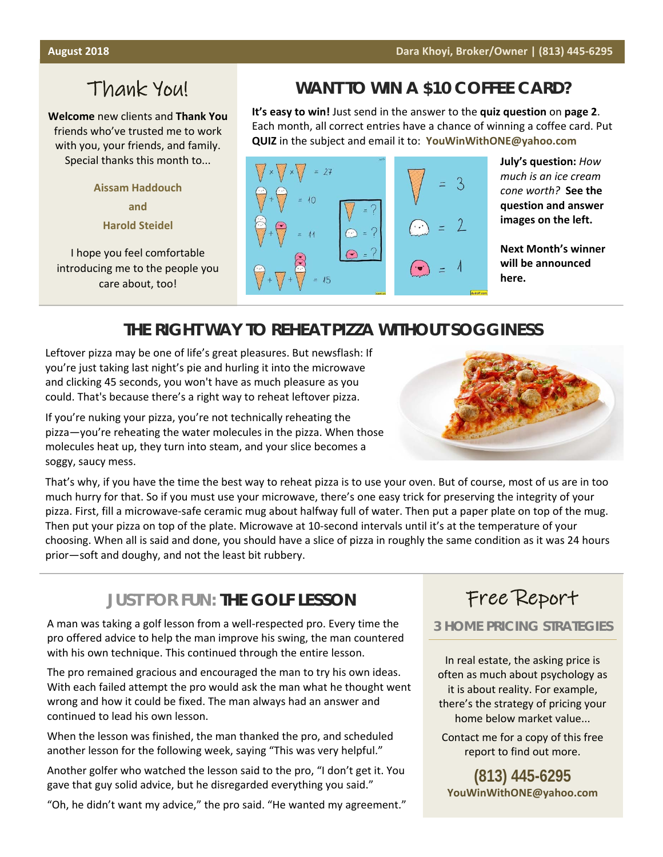# Thank You!

**Welcome** new clients and **Thank You** friends who've trusted me to work with you, your friends, and family. Special thanks this month to...

> **Aissam Haddouch and Harold Steidel**

I hope you feel comfortable introducing me to the people you care about, too!

# **WANT TO WIN A \$10 COFFEE CARD?**

**It's easy to win!** Just send in the answer to the **quiz question** on **page 2**. Each month, all correct entries have a chance of winning a coffee card. Put **QUIZ** in the subject and email it to: **YouWinWithONE@yahoo.com**



**July's question:** *How much is an ice cream cone worth?*  **See the question and answer images on the left.** 

**Next Month's winner will be announced here.** 

## **THE RIGHT WAY TO REHEAT PIZZA WITHOUT SOGGINESS**

Leftover pizza may be one of life's great pleasures. But newsflash: If you're just taking last night's pie and hurling it into the microwave and clicking 45 seconds, you won't have as much pleasure as you could. That's because there's a right way to reheat leftover pizza.

If you're nuking your pizza, you're not technically reheating the pizza—you're reheating the water molecules in the pizza. When those molecules heat up, they turn into steam, and your slice becomes a soggy, saucy mess.

That's why, if you have the time the best way to reheat pizza is to use your oven. But of course, most of us are in too much hurry for that. So if you must use your microwave, there's one easy trick for preserving the integrity of your pizza. First, fill a microwave-safe ceramic mug about halfway full of water. Then put a paper plate on top of the mug. Then put your pizza on top of the plate. Microwave at 10‐second intervals until it's at the temperature of your choosing. When all is said and done, you should have a slice of pizza in roughly the same condition as it was 24 hours prior—soft and doughy, and not the least bit rubbery.

#### *JUST FOR FUN:* **THE GOLF LESSON**

A man was taking a golf lesson from a well‐respected pro. Every time the pro offered advice to help the man improve his swing, the man countered with his own technique. This continued through the entire lesson.

The pro remained gracious and encouraged the man to try his own ideas. With each failed attempt the pro would ask the man what he thought went wrong and how it could be fixed. The man always had an answer and continued to lead his own lesson.

When the lesson was finished, the man thanked the pro, and scheduled another lesson for the following week, saying "This was very helpful."

Another golfer who watched the lesson said to the pro, "I don't get it. You gave that guy solid advice, but he disregarded everything you said."

"Oh, he didn't want my advice," the pro said. "He wanted my agreement."

# Free Report

#### **3 HOME PRICING STRATEGIES**

In real estate, the asking price is often as much about psychology as it is about reality. For example, there's the strategy of pricing your home below market value...

Contact me for a copy of this free report to find out more.

**(813) 445-6295 YouWinWithONE@yahoo.com**